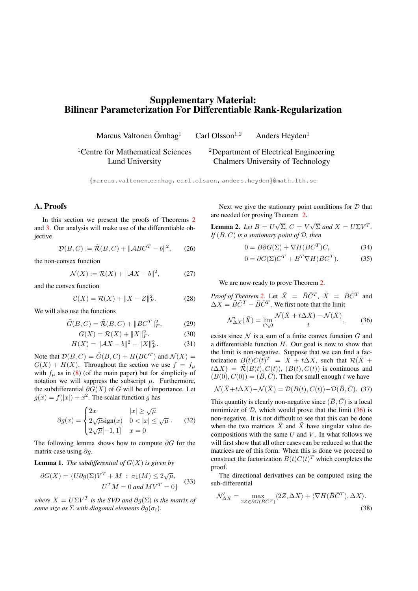# Supplementary Material: Bilinear Parameterization For Differentiable Rank-Regularization

Marcus Valtonen Örnhag<sup>1</sup> Carl Olsson<sup>1,2</sup> Anders Heyden<sup>1</sup>

<sup>1</sup>Centre for Mathematical Sciences Lund University

<sup>2</sup>Department of Electrical Engineering Chalmers University of Technology

{marcus.valtonen ornhag, carl.olsson, anders.heyden}@math.lth.se

## A. Proofs

In this section we present the proofs of Theorems 2 and 3. Our analysis will make use of the differentiable objective

$$
\mathcal{D}(B, C) := \tilde{\mathcal{R}}(B, C) + ||\mathcal{A}BC^{T} - b||^{2}, \qquad (26)
$$

the non-convex function

$$
\mathcal{N}(X) := \mathcal{R}(X) + ||\mathcal{A}X - b||^2, \tag{27}
$$

and the convex function

$$
C(X) = \mathcal{R}(X) + \|X - Z\|_F^2.
$$
 (28)

We will also use the functions

$$
\tilde{G}(B,C) = \tilde{\mathcal{R}}(B,C) + ||BC^T||_F^2, \tag{29}
$$

$$
G(X) = \mathcal{R}(X) + \|X\|_F^2,
$$
 (30)

$$
H(X) = ||\mathcal{A}X - b||^2 - ||X||_F^2.
$$
 (31)

Note that  $\mathcal{D}(B, C) = \tilde{G}(B, C) + H(BC^T)$  and  $\mathcal{N}(X) =$  $G(X) + H(X)$ . Throughout the section we use  $f = f_{\mu}$ with  $f_{\mu}$  as in (8) (of the main paper) but for simplicity of notation we will suppress the subscript  $\mu$ . Furthermore, the subdifferential  $\partial G(X)$  of G will be of importance. Let  $q(x) = f(|x|) + x^2$ . The scalar function q has

$$
\partial g(x) = \begin{cases} 2x & |x| \ge \sqrt{\mu} \\ 2\sqrt{\mu}\text{sign}(x) & 0 < |x| \le \sqrt{\mu} \\ 2\sqrt{\mu}[-1, 1] & x = 0 \end{cases}
$$
 (32)

The following lemma shows how to compute  $\partial G$  for the matrix case using  $\partial q$ .

**Lemma 1.** *The subdifferential of*  $G(X)$  *is given by* 

$$
\partial G(X) = \{U\partial g(\Sigma)V^T + M : \sigma_1(M) \le 2\sqrt{\mu},
$$
  

$$
U^T M = 0 \text{ and } MV^T = 0\}
$$
 (33)

*where*  $X = U\Sigma V^T$  *is the SVD and*  $\partial q(\Sigma)$  *is the matrix of same size as*  $\Sigma$  *with diagonal elements*  $\partial q(\sigma_i)$ *.* 

Next we give the stationary point conditions for  $D$  that are needed for proving Theorem 2.

**Lemma 2.** *Let*  $B = U\sqrt{\Sigma}$ ,  $C = V\sqrt{\Sigma}$  *and*  $X = U\Sigma V^T$ *. If* (B, C) *is a stationary point of* D*, then*

$$
0 = B\partial G(\Sigma) + \nabla H(BC^T)C,\tag{34}
$$

$$
0 = \partial G(\Sigma)C^T + B^T \nabla H(BC^T). \tag{35}
$$

We are now ready to prove Theorem 2.

*Proof of Theorem 2.* Let  $\bar{X} = \bar{B}\bar{C}^T$ ,  $\tilde{X} = \tilde{B}\tilde{C}^T$  and  $\Delta X = \tilde{B}\tilde{C}^T - \bar{B}\bar{C}^T$ . We first note that the limit

$$
\mathcal{N}'_{\Delta X}(\bar{X}) = \lim_{t \searrow 0} \frac{\mathcal{N}(\bar{X} + t\Delta X) - \mathcal{N}(\bar{X})}{t},
$$
 (36)

exists since  $N$  is a sum of a finite convex function  $G$  and a differentiable function  $H$ . Our goal is now to show that the limit is non-negative. Suppose that we can find a factorization  $B(t)C(t)^T = \overline{X} + t\Delta X$ , such that  $\mathcal{R}(\overline{X} +$  $t\Delta X$ ) =  $\tilde{\mathcal{R}}(B(t), C(t))$ ,  $(B(t), C(t))$  is continuous and  $(B(0), C(0)) = (\overline{B}, \overline{C})$ . Then for small enough t we have

$$
\mathcal{N}(\bar{X} + t\Delta X) - \mathcal{N}(\bar{X}) = \mathcal{D}(B(t), C(t)) - \mathcal{D}(\bar{B}, \bar{C}).
$$
 (37)

This quantity is clearly non-negative since  $(\bar{B}, \bar{C})$  is a local minimizer of  $D$ , which would prove that the limit  $(36)$  is non-negative. It is not difficult to see that this can be done when the two matrices  $\overline{X}$  and  $\overline{X}$  have singular value decompositions with the same  $U$  and  $V$ . In what follows we will first show that all other cases can be reduced so that the matrices are of this form. When this is done we proceed to construct the factorization  $B(t)C(t)^T$  which completes the proof.

The directional derivatives can be computed using the sub-differential

$$
\mathcal{N}'_{\Delta X} = \max_{2Z \in \partial G(\bar{B}\bar{C}^T)} \langle 2Z, \Delta X \rangle + \langle \nabla H(\bar{B}\bar{C}^T), \Delta X \rangle. \tag{38}
$$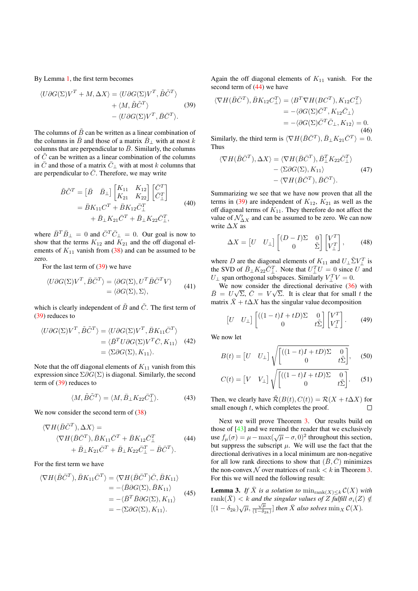By Lemma 1, the first term becomes

$$
\langle U\partial G(\Sigma)V^T + M, \Delta X \rangle = \langle U\partial G(\Sigma)V^T, \tilde{B}\tilde{C}^T \rangle + \langle M, \tilde{B}\tilde{C}^T \rangle
$$
 (39)  
-  $\langle U\partial G(\Sigma)V^T, \bar{B}\bar{C}^T \rangle$ .

The columns of  $\tilde{B}$  can be written as a linear combination of the columns in  $\bar{B}$  and those of a matrix  $\bar{B}_{\perp}$  with at most k columns that are perpendicular to  $\bar{B}$ . Similarly, the columns of  $\tilde{C}$  can be written as a linear combination of the columns in  $\overline{C}$  and those of a matrix  $\overline{C}$ <sub>⊥</sub> with at most k columns that are perpendicular to  $\overline{C}$ . Therefore, we may write

$$
\tilde{B}\tilde{C}^{T} = \begin{bmatrix} \bar{B} & \bar{B}_{\perp} \end{bmatrix} \begin{bmatrix} K_{11} & K_{12} \\ K_{21} & K_{22} \end{bmatrix} \begin{bmatrix} \bar{C}^{T} \\ \bar{C}_{\perp}^{T} \end{bmatrix} \n= \bar{B}K_{11}C^{T} + \bar{B}K_{12}\bar{C}_{\perp}^{T} \n+ \bar{B}_{\perp}K_{21}\bar{C}^{T} + \bar{B}_{\perp}K_{22}\bar{C}_{\perp}^{T},
$$
\n(40)

where  $\bar{B}^T \bar{B}_{\perp} = 0$  and  $\bar{C}^T \bar{C}_{\perp} = 0$ . Our goal is now to show that the terms  $K_{12}$  and  $K_{21}$  and the off diagonal elements of  $K_{11}$  vanish from (38) and can be assumed to be zero.

For the last term of (39) we have

$$
\langle U\partial G(\Sigma)V^T, \bar{B}\bar{C}^T \rangle = \langle \partial G(\Sigma), U^T \bar{B}\bar{C}^T V \rangle
$$
  
= 
$$
\langle \partial G(\Sigma), \Sigma \rangle,
$$
 (41)

which is clearly independent of  $\tilde{B}$  and  $\tilde{C}$ . The first term of (39) reduces to

$$
\langle U\partial G(\Sigma)V^T, \tilde{B}\tilde{C}^T \rangle = \langle U\partial G(\Sigma)V^T, \bar{B}K_{11}\bar{C}^T \rangle
$$
  
=  $\langle \bar{B}^T U \partial G(\Sigma)V^T \bar{C}, K_{11} \rangle$  (42)  
=  $\langle \Sigma \partial G(\Sigma), K_{11} \rangle$ .

Note that the off diagonal elements of  $K_{11}$  vanish from this expression since  $\Sigma \partial G(\Sigma)$  is diagonal. Similarly, the second term of (39) reduces to

$$
\langle M, \tilde{B}\tilde{C}^T \rangle = \langle M, \bar{B}_{\perp} K_{22} \bar{C}^T_{\perp} \rangle. \tag{43}
$$

We now consider the second term of  $(38)$ 

$$
\langle \nabla H(\bar{B}\bar{C}^T), \Delta X \rangle =
$$
  
 
$$
\langle \nabla H(\bar{B}\bar{C}^T), \bar{B}K_{11}\bar{C}^T + \bar{B}K_{12}\bar{C}^T_{\perp} \qquad (44)
$$
  
 
$$
+ \bar{B}_{\perp}K_{21}\bar{C}^T + \bar{B}_{\perp}K_{22}\bar{C}^T_{\perp} - \bar{B}\bar{C}^T \rangle.
$$

For the first term we have

$$
\langle \nabla H(\bar{B}\bar{C}^T), \bar{B}K_{11}\bar{C}^T \rangle = \langle \nabla H(\bar{B}\bar{C}^T)\bar{C}, \bar{B}K_{11} \rangle
$$
  
\n
$$
= -\langle \bar{B}\partial G(\Sigma), \bar{B}K_{11} \rangle
$$
  
\n
$$
= -\langle \bar{B}^T \bar{B}\partial G(\Sigma), K_{11} \rangle
$$
  
\n
$$
= -\langle \Sigma \partial G(\Sigma), K_{11} \rangle.
$$
 (45)

Again the off diagonal elements of  $K_{11}$  vanish. For the second term of (44) we have

$$
\langle \nabla H(\bar{B}\bar{C}^T), \bar{B}K_{12}C_{\perp}^T \rangle = \langle B^T \nabla H(BC^T), K_{12}C_{\perp}^T \rangle
$$
  
= -\langle \partial G(\Sigma)\bar{C}^T, K\_{12}\bar{C}\_{\perp} \rangle  
= -\langle \partial G(\Sigma)\bar{C}^T\bar{C}\_{\perp}, K\_{12} \rangle = 0. (46)

Similarly, the third term is  $\langle \nabla H(\bar{B}\bar{C}^T), \bar{B}_{\perp}K_{21}\bar{C}^T \rangle = 0.$ Thus

$$
\langle \nabla H(\bar{B}\bar{C}^T), \Delta X \rangle = \langle \nabla H(\bar{B}\bar{C}^T), \bar{B}^T_{\perp} K_{22} \bar{C}^T_{\perp} \rangle - \langle \Sigma \partial G(\Sigma), K_{11} \rangle
$$
 (47)  
- \langle \nabla H(\bar{B}\bar{C}^T), \bar{B}\bar{C}^T \rangle.

Summarizing we see that we have now proven that all the terms in (39) are independent of  $K_{12}$ ,  $K_{21}$  as well as the off diagonal terms of  $K_{11}$ . They therefore do not affect the value of  $\mathcal{N}'_{\Delta X}$  and can be assumed to be zero. We can now write  $\Delta X$  as

$$
\Delta X = \begin{bmatrix} U & U_{\perp} \end{bmatrix} \begin{bmatrix} (D - I)\Sigma & 0 \\ 0 & \tilde{\Sigma} \end{bmatrix} \begin{bmatrix} V^{T} \\ V_{\perp}^{T} \end{bmatrix}, \quad (48)
$$

where D are the diagonal elements of  $K_{11}$  and  $U_{\perp} \tilde{\Sigma} V_{\perp}^T$  is the SVD of  $\overline{B}_{\perp}K_{22}\overline{C}_{\perp}^T$ . Note that  $U_{\perp}^T U = 0$  since  $U$  and  $U_{\perp}$  span orthogonal subspaces. Similarly  $V_{\perp}^{T}V = 0$ .

We now consider the directional derivative (36) with  $\overline{B} = U\sqrt{\Sigma}, \overline{C} = V\sqrt{\Sigma}$ . It is clear that for small t the matrix  $\bar{X} + t\Delta X$  has the singular value decomposition

$$
\begin{bmatrix} U & U_{\perp} \end{bmatrix} \begin{bmatrix} ((1-t)I + tD)\Sigma & 0 \\ 0 & t\tilde{\Sigma} \end{bmatrix} \begin{bmatrix} V^{T} \\ V_{\perp}^{T} \end{bmatrix} . \tag{49}
$$

We now let

$$
B(t) = \begin{bmatrix} U & U_{\perp} \end{bmatrix} \sqrt{\begin{bmatrix} ((1-t)I + tD)\Sigma & 0 \\ 0 & t\tilde{\Sigma} \end{bmatrix}}, \quad (50)
$$

$$
C(t) = \begin{bmatrix} V & V_{\perp} \end{bmatrix} \sqrt{\begin{bmatrix} ((1-t)I + tD)\Sigma & 0 \\ 0 & t\tilde{\Sigma} \end{bmatrix}}.
$$
 (51)

Then, we clearly have  $\tilde{\mathcal{R}}(B(t), C(t)) = \mathcal{R}(X + t\Delta X)$  for small enough t which completes the proof small enough t, which completes the proof.

Next we will prove Theorem 3. Our results build on those of [43] and we remind the reader that we exclusively use  $f_{\mu}(\sigma) = \mu - \max(\sqrt{\mu} - \sigma, 0)^2$  throughout this section, but suppress the subscript  $\mu$ . We will use the fact that the directional derivatives in a local minimum are non-negative for all low rank directions to show that  $(\bar{B}, \bar{C})$  minimizes the non-convex N over matrices of rank  $\lt k$  in Theorem 3. For this we will need the following result:

**Lemma 3.** *If*  $\bar{X}$  *is a solution to*  $\min_{\text{rank}(X) \leq k} C(X)$  *with*  $\text{rank}(\bar{X}) < k$  *and the singular values of*  $Z$  *fulfill*  $\sigma_i(Z) \notin$  $[(1 - \delta_{2k})\sqrt{\mu}, \frac{\sqrt{\mu}}{(1 - \delta_{2k})}]$  *then*  $\bar{X}$  *also solves*  $\min_{X} C(X)$ *.*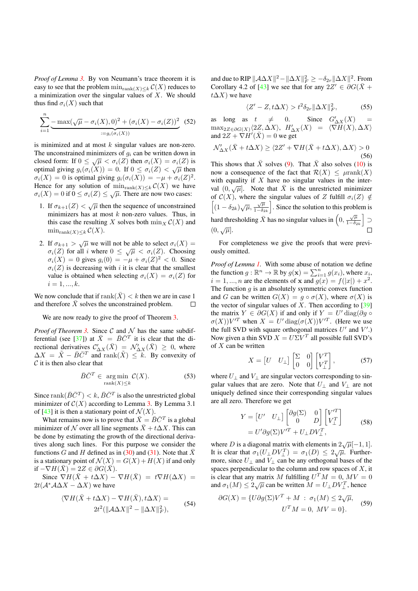*Proof of Lemma 3.* By von Neumann's trace theorem it is easy to see that the problem  $\min_{\text{rank}(X) \leq k} C(X)$  reduces to a minimization over the singular values of  $X$ . We should thus find  $\sigma_i(X)$  such that

$$
\sum_{i=1}^{n} \underbrace{-\max(\sqrt{\mu} - \sigma_i(X), 0)^2 + (\sigma_i(X) - \sigma_i(Z))^2}_{:= g_i(\sigma_i(X))}
$$
 (52)

is minimized and at most  $k$  singular values are non-zero. The unconstrained minimizers of  $q_i$  can be written down in closed form: If  $0 \leq \sqrt{\mu} < \sigma_i(Z)$  then  $\sigma_i(X) = \sigma_i(Z)$  is optimal giving  $g_i(\sigma_i(X)) = 0$ . If  $0 \leq \sigma_i(Z) < \sqrt{\mu}$  then  $\sigma_i(X) = 0$  is optimal giving  $g_i(\sigma_i(X)) = -\mu + \sigma_i(Z)^2$ . Hence for any solution of  $\min_{\text{rank}(X)\leq k} C(X)$  we have  $\sigma_i(X) = 0$  if  $0 \leq \sigma_i(Z) \leq \sqrt{\mu}$ . There are now two cases:

- 1. If  $\sigma_{k+1}(Z) < \sqrt{\mu}$  then the sequence of unconstrained minimizers has at most  $k$  non-zero values. Thus, in this case the resulting X solves both  $\min_{X} C(X)$  and  $\min_{\text{rank}(X)\leq k} \mathcal{C}(X).$
- 2. If  $\sigma_{k+1} > \sqrt{\mu}$  we will not be able to select  $\sigma_i(X) =$  $\sigma_i(Z)$  for all i where  $0 \leq \sqrt{\mu} < \sigma_i(Z)$ . Choosing  $\sigma_i(X) = 0$  gives  $g_i(0) = -\mu + \sigma_i(Z)^2 < 0$ . Since  $\sigma_i(Z)$  is decreasing with i it is clear that the smallest value is obtained when selecting  $\sigma_i(X) = \sigma_i(Z)$  for  $i = 1, ..., k.$

We now conclude that if  $\text{rank}(\bar{X}) < k$  then we are in case 1 and therefore  $\overline{X}$  solves the unconstrained problem.  $\Box$ 

We are now ready to give the proof of Theorem 3.

*Proof of Theorem 3.* Since  $C$  and  $N$  has the same subdifferential (see [37]) at  $\bar{X} = \bar{B}\bar{C}^T$  it is clear that the directional derivatives  $\mathcal{C}_{\Delta X}'(\bar{X}) = \mathcal{N}_{\Delta X}'(\bar{X}) \geq 0$ , where  $\Delta X = \tilde{X} - \bar{B}\bar{C}^T$  and rank $(\tilde{X}) \leq k$ . By convexity of  $C$  it is then also clear that

$$
\bar{B}\bar{C}^T \in \underset{\text{rank}(X) \le k}{\text{arg min}} \mathcal{C}(X). \tag{53}
$$

Since rank( $\overline{B}\overline{C}^T$ ) < k,  $\overline{B}\overline{C}^T$  is also the unrestricted global minimizer of  $C(X)$  according to Lemma 3. By Lemma 3.1 of [43] it is then a stationary point of  $\mathcal{N}(X)$ .

What remains now is to prove that  $\bar{X} = \bar{B}\bar{C}^T$  is a global minimizer of N over all line segments  $\bar{X} + t\Delta X$ . This can be done by estimating the growth of the directional derivatives along such lines. For this purpose we consider the functions G and H defined as in (30) and (31). Note that  $\bar{X}$ is a stationary point of  $\mathcal{N}(X) = G(X) + H(X)$  if and only if  $-\nabla H(\bar{X}) = 2Z \in \partial G(\bar{X}).$ 

Since  $\nabla H(\bar{X} + t\Delta X) - \nabla H(\bar{X}) = t\nabla H(\Delta X) =$  $2t(A^*A\Delta X - \Delta X)$  we have

$$
\langle \nabla H(\bar{X} + t\Delta X) - \nabla H(\bar{X}), t\Delta X \rangle = 2t^2 (\|\mathcal{A}\Delta X\|^2 - \|\Delta X\|_F^2),
$$
 (54)

and due to RIP  $\|\mathcal{A}\Delta X\|^2 - \|\Delta X\|^2 \geq -\delta_{2r}\|\Delta X\|^2$ . From Corollary 4.2 of [43] we see that for any  $2Z' \in \partial G(\bar{X} +$  $t\Delta X$ ) we have

$$
\langle Z'-Z, t\Delta X\rangle > t^2 \delta_{2r} \|\Delta X\|_F^2, \tag{55}
$$

as long as  $t \neq 0$ . Since  $G'_{\Delta X}(X)$  =  $\max_{2Z \in \partial G(X)} \langle 2Z, \Delta X \rangle$ ,  $H'_{\Delta X}(X) = \langle \nabla H(X), \Delta X \rangle$ and  $2Z + \nabla H'(\bar{X}) = 0$  we get

$$
\mathcal{N}'_{\Delta X}(\bar{X} + t\Delta X) \ge \langle 2Z' + \nabla H(\bar{X} + t\Delta X), \Delta X \rangle > 0
$$
\n(56)

This shows that  $\bar{X}$  solves (9). That  $\bar{X}$  also solves (10) is now a consequence of the fact that  $\mathcal{R}(X) \leq \mu$ rank $(X)$ with equality if  $X$  have no singular values in the interval  $(0, \sqrt{\mu})$ . Note that  $\bar{X}$  is the unrestricted minimizer of  $C(X)$ , where the singular values of Z fulfill  $\sigma_i(Z) \notin$  $\left[(1-\delta_{2k})\sqrt{\mu},\frac{\sqrt{\mu}}{1-\delta_{2k}}\right]$ � . Since the solution to this problem is hard thresholding  $\bar{X}$  has no singular values in  $\left(0, \frac{\sqrt{\mu}}{1-\delta_{2k}}\right)$  $\overline{\phantom{a}}$ ⊃  $(0,\sqrt{\mu}).$ 

For completeness we give the proofs that were previously omitted.

*Proof of Lemma 1.* With some abuse of notation we define the function  $g : \mathbb{R}^n \to \mathbb{R}$  by  $g(\mathbf{x}) = \sum_{i=1}^n g(x_i)$ , where  $x_i$ ,  $i = 1, ..., n$  are the elements of **x** and  $g(x) = f(|x|) + x^2$ . The function  $q$  is an absolutely symmetric convex function and G can be written  $G(X) = g \circ \sigma(X)$ , where  $\sigma(X)$  is the vector of singular values of X. Then according to  $[39]$ the matrix  $Y \in \partial G(X)$  if and only if  $Y = U' \text{diag}(\partial g \circ$  $\sigma(X)$ ) $V^T$  when  $X = U'$  diag( $\sigma(X)$ ) $V^T$ . (Here we use the full SVD with square orthogonal matrices  $U'$  and  $V'$ .) Now given a thin SVD  $X = U\Sigma V^T$  all possible full SVD's of X can be written

$$
X = \begin{bmatrix} U & U_{\perp} \end{bmatrix} \begin{bmatrix} \Sigma & 0 \\ 0 & 0 \end{bmatrix} \begin{bmatrix} V^{T} \\ V_{\perp}^{T} \end{bmatrix}, \tag{57}
$$

where  $U_{\perp}$  and  $V_{\perp}$  are singular vectors corresponding to singular values that are zero. Note that  $U_{\perp}$  and  $V_{\perp}$  are not uniquely defined since their corresponding singular values are all zero. Therefore we get

$$
Y = \begin{bmatrix} U' & U_{\perp} \end{bmatrix} \begin{bmatrix} \partial g(\Sigma) & 0 \\ 0 & D \end{bmatrix} \begin{bmatrix} V'^T \\ V_{\perp}^T \end{bmatrix}
$$
  
=  $U' \partial g(\Sigma) V'^T + U_{\perp} D V_{\perp}^T$ , (58)

where D is a diagonal matrix with elements in  $2\sqrt{\mu}[-1,1]$ . It is clear that  $\sigma_1(U_{\perp}DV_{\perp}^T) = \sigma_1(D) \leq 2\sqrt{\mu}$ . Furthermore, since  $U_{\perp}$  and  $V_{\perp}$  can be any orthogonal bases of the spaces perpendicular to the column and row spaces of  $X$ , it is clear that any matrix M fulfilling  $U^T M = 0$ ,  $MV = 0$ and  $\sigma_1(M) \leq 2\sqrt{\mu}$  can be written  $M = U_{\perp} D V_{\perp}^T$ , hence

$$
\partial G(X) = \{U\partial g(\Sigma)V^T + M \; : \; \sigma_1(M) \le 2\sqrt{\mu},
$$
  

$$
U^T M = 0, \; MV = 0\}.
$$
 (59)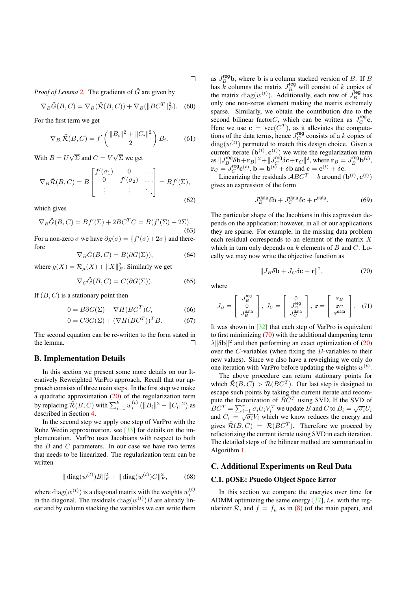*Proof of Lemma* 2. The gradients of  $\tilde{G}$  are given by

$$
\nabla_B \tilde{G}(B, C) = \nabla_B(\tilde{\mathcal{R}}(B, C)) + \nabla_B(\|BC^T\|_F^2). \quad (60)
$$

For the first term we get

$$
\nabla_{B_i} \tilde{\mathcal{R}}(B, C) = f' \left( \frac{\|B_i\|^2 + \|C_i\|^2}{2} \right) B_i.
$$
 (61)

With  $B = U\sqrt{\Sigma}$  and  $C = V\sqrt{\Sigma}$  we get

$$
\nabla_B \tilde{\mathcal{R}}(B, C) = B \begin{bmatrix} f'(\sigma_1) & 0 & \dots \\ 0 & f'(\sigma_2) & \dots \\ \vdots & \vdots & \ddots \end{bmatrix} = Bf'(\Sigma), \tag{62}
$$

which gives

$$
\nabla_B \tilde{G}(B, C) = Bf'(\Sigma) + 2BC^TC = B(f'(\Sigma) + 2\Sigma).
$$
\n(63)

For a non-zero  $\sigma$  we have  $\partial g(\sigma) = \{f'(\sigma) + 2\sigma\}$  and therefore

$$
\nabla_B \tilde{G}(B, C) = B(\partial G(\Sigma)),\tag{64}
$$

where  $g(X) = \mathcal{R}_{\mu}(X) + ||X||_F^2$ . Similarly we get

$$
\nabla_C \tilde{G}(B, C) = C(\partial G(\Sigma)).\tag{65}
$$

If  $(B, C)$  is a stationary point then

$$
0 = B\partial G(\Sigma) + \nabla H(BC^T)C,\tag{66}
$$

$$
0 = C\partial G(\Sigma) + (\nabla H(BC^T))^T B. \tag{67}
$$

The second equation can be re-written to the form stated in the lemma.  $\Box$ 

#### B. Implementation Details

In this section we present some more details on our Iteratively Reweighted VarPro approach. Recall that our approach consists of three main steps. In the first step we make a quadratic approximation (20) of the regularization term by replacing  $\tilde{\mathcal{R}}(B,C)$  with  $\sum_{i=1}^k w_i^{(t)} \left( \|B_i\|^2 + \|C_i\|^2 \right)$  as described in Section 4.

In the second step we apply one step of VarPro with the Ruhe Wedin approximation, see [33] for details on the implementation. VarPro uses Jacobians with respect to both the  $B$  and  $C$  parameters. In our case we have two terms that needs to be linearized. The regularization term can be written

$$
\|\operatorname{diag}(w^{(t)})B\|_{F}^{2} + \|\operatorname{diag}(w^{(t)})C\|_{F}^{2},\qquad(68)
$$

where  $diag(w^{(t)})$  is a diagonal matrix with the weights  $w_i^{(t)}$ in the diagonal. The residuals  $diag(w^{(t)})B$  are already linear and by column stacking the varaibles we can write them

as  $J_B^{\text{reg}}$ **b**, where **b** is a column stacked version of *B*. If *B* has k columns the matrix  $J_B^{\text{reg}}$  will consist of k copies of the matrix diag( $w^{(t)}$ ). Additionally, each row of  $J_B^{\text{reg}}$  has only one non-zeros element making the matrix extremely sparse. Similarly, we obtain the contribution due to the second bilinear factor $C$ , which can be written as  $J_C^{\text{reg}}$ c. Here we use  $\mathbf{c} = \text{vec}(C^T)$ , as it alleviates the computations of the data terms, hence  $J_C^{\text{reg}}$  consists of a k copies of  $diag(w^{(t)})$  permuted to match this design choice. Given a current iterate  $(\mathbf{b}^{(t)}, \mathbf{c}^{(t)})$  we write the regularization term as  $\|J_B^{\text{reg}}\delta \mathbf{b} + \mathbf{r}_B\|^2 + \|J_C^{\text{reg}}\delta \mathbf{c} + \mathbf{r}_C\|^2$ , where  $\mathbf{r}_B = J_B^{\text{reg}}\mathbf{b}^{(t)}$ ,  $\mathbf{r}_C = J_C^{\text{reg}} \mathbf{c}^{(t)}$ ,  $\mathbf{b} = \mathbf{b}^{(t)} + \delta \mathbf{b}$  and  $\mathbf{c} = \mathbf{c}^{(t)} + \delta \mathbf{c}$ .

Linearizing the residuals  $ABC^{T} - b$  around  $(\mathbf{b}^{(t)}, \mathbf{c}^{(t)})$ gives an expression of the form

$$
J_B^{\text{data}} \delta \mathbf{b} + J_C^{\text{data}} \delta \mathbf{c} + \mathbf{r}^{\text{data}}.
$$
 (69)

The particular shape of the Jacobians in this expression depends on the application; however, in all of our applications they are sparse. For example, in the missing data problem each residual corresponds to an element of the matrix X which in turn only depends on  $k$  elements of  $B$  and  $C$ . Locally we may now write the objective function as

$$
||J_B \delta \mathbf{b} + J_C \delta \mathbf{c} + \mathbf{r}||^2, \tag{70}
$$

where

$$
J_B = \begin{bmatrix} J_B^{\text{reg}} \\ 0 \\ J_B^{\text{data}} \end{bmatrix}, J_C = \begin{bmatrix} 0 \\ J_C^{\text{reg}} \\ J_C^{\text{data}} \end{bmatrix}, \ \mathbf{r} = \begin{bmatrix} \mathbf{r}_B \\ \mathbf{r}_C \\ \mathbf{r}^{\text{data}} \end{bmatrix}. \tag{71}
$$

It was shown in [32] that each step of VarPro is equivalent to first minimizing (70) with the additional dampening term  $\lambda$ || $\delta$ b||<sup>2</sup> and then performing an exact optimization of (20) over the C-variables (when fixing the B-variables to their new values). Since we also have a reweighing we only do one iteration with VarPro before updating the weights  $w^{(t)}$ .

The above procedure can return stationary points for which  $\widetilde{\mathcal{R}}(B, C) > \mathcal{R}(BC^T)$ . Our last step is designed to escape such points by taking the current iterate and recompute the factorization of  $\bar{B}\bar{C}^T$  using SVD. If the SVD of  $\bar{B}\bar{C}^T = \sum_{i=1}^r \sigma_i U_i V_i^T$  we update  $\bar{B}$  and  $\bar{C}$  to  $\bar{B}_i = \sqrt{\sigma_i} U_i$ and  $\overline{C}_i = \sqrt{\sigma_i} V_i$  which we know reduces the energy and gives  $\tilde{\mathcal{R}}(\bar{B}, \bar{C}) = \mathcal{R}(\bar{B}\bar{C}^T)$ . Therefore we proceed by refactorizing the current iterate using SVD in each iteration. The detailed steps of the bilinear method are summarized in Algorithm 1.

## C. Additional Experiments on Real Data

#### C.1. pOSE: Psuedo Object Space Error

In this section we compare the energies over time for ADMM optimizing the same energy [37], *i.e*. with the regularizer R, and  $f = f_{\mu}$  as in (8) (of the main paper), and

 $\Box$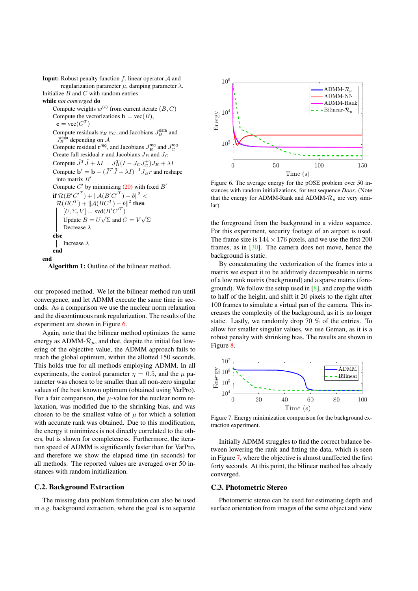**Input:** Robust penalty function  $f$ , linear operator  $A$  and regularization parameter  $\mu$ , damping parameter  $\lambda$ . Initialize  $B$  and  $C$  with random entries

while *not converged* do

Compute weights  $w^{(t)}$  from current iterate  $(B, C)$ Compute the vectorizations  $\mathbf{b} = \text{vec}(B)$ ,  $\mathbf{c} = \text{vec}(C^T)$ Compute residuals  $\mathbf{r}_B \mathbf{r}_C$ , and Jacobians  $J_B^{\text{data}}$  and  $J_B^{\text{data}}$  depending on A Compute residual  $\mathbf{r}^{\text{reg}}$ , and Jacobians  $J_B^{\text{reg}}$  and  $J_C^{\text{reg}}$ Create full residual **r** and Jacobians  $J_B$  and  $J_C$ Compute  $\tilde{J}^T \tilde{J} + \lambda I = J_B^T (I - J_C J_C^+) J_B + \lambda I$ Compute  $\mathbf{b}' = \mathbf{b} - (\tilde{J}^T \tilde{J} + \lambda I)^{-1} J_B r$  and reshape into matrix  $B^{\prime}$ Compute  $C'$  by minimizing (20) with fixed  $B'$ if  $\mathcal{R}(B'{C'}^T) + ||\mathcal{A}(B'{C'}^T) - b||^2 <$  $\mathcal{R}(BC^T) + ||\mathcal{A}(BC^T) - b||^2$  then  $[U, \Sigma, V] = \text{svd}(B'C'^T)$ Update  $B = U\sqrt{\Sigma}$  and  $C = V\sqrt{\Sigma}$ Decrease  $\lambda$ else Increase λ end end

Algorithm 1: Outline of the bilinear method.

our proposed method. We let the bilinear method run until convergence, and let ADMM execute the same time in seconds. As a comparison we use the nuclear norm relaxation and the discontinuous rank regularization. The results of the experiment are shown in Figure 6.

Again, note that the bilinear method optimizes the same energy as ADMM- $\mathcal{R}_{\mu}$ , and that, despite the initial fast lowering of the objective value, the ADMM approach fails to reach the global optimum, within the allotted 150 seconds. This holds true for all methods employing ADMM. In all experiments, the control parameter  $\eta = 0.5$ , and the  $\mu$  parameter was chosen to be smaller than all non-zero singular values of the best known optimum (obtained using VarPro). For a fair comparison, the  $\mu$ -value for the nuclear norm relaxation, was modified due to the shrinking bias, and was chosen to be the smallest value of  $\mu$  for which a solution with accurate rank was obtained. Due to this modification, the energy it minimizes is not directly correlated to the others, but is shown for completeness. Furthermore, the iteration speed of ADMM is significantly faster than for VarPro, and therefore we show the elapsed time (in seconds) for all methods. The reported values are averaged over 50 instances with random initialization.

### C.2. Background Extraction

The missing data problem formulation can also be used in *e.g*. background extraction, where the goal is to separate



Figure 6. The average energy for the pOSE problem over 50 instances with random initializations, for test sequence *Door*. (Note that the energy for ADMM-Rank and ADMM- $\mathcal{R}_{\mu}$  are very similar).

the foreground from the background in a video sequence. For this experiment, security footage of an airport is used. The frame size is  $144 \times 176$  pixels, and we use the first 200 frames, as in [30]. The camera does not move, hence the background is static.

By concatenating the vectorization of the frames into a matrix we expect it to be additively decomposable in terms of a low rank matrix (background) and a sparse matrix (foreground). We follow the setup used in [8], and crop the width to half of the height, and shift it 20 pixels to the right after 100 frames to simulate a virtual pan of the camera. This increases the complexity of the background, as it is no longer static. Lastly, we randomly drop 70 % of the entries. To allow for smaller singular values, we use Geman, as it is a robust penalty with shrinking bias. The results are shown in Figure 8.



Figure 7. Energy minimization comparison for the background extraction experiment.

Initially ADMM struggles to find the correct balance between lowering the rank and fitting the data, which is seen in Figure 7, where the objective is almost unaffected the first forty seconds. At this point, the bilinear method has already converged.

#### C.3. Photometric Stereo

Photometric stereo can be used for estimating depth and surface orientation from images of the same object and view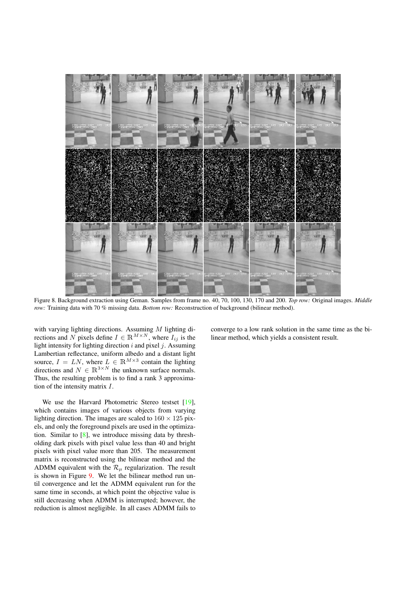

Figure 8. Background extraction using Geman. Samples from frame no. 40, 70, 100, 130, 170 and 200. *Top row:* Original images. *Middle row:* Training data with 70 % missing data. *Bottom row:* Reconstruction of background (bilinear method).

with varying lighting directions. Assuming  $M$  lighting directions and N pixels define  $I \in \mathbb{R}^{M \times N}$ , where  $I_{ij}$  is the light intensity for lighting direction *i* and pixel *i*. Assuming light intensity for lighting direction  $i$  and pixel  $j$ . Assuming Lambertian reflectance, uniform albedo and a distant light source,  $I = LN$ , where  $L \in \mathbb{R}^{M \times 3}$  contain the lighting<br>directions and  $N \in \mathbb{R}^{3 \times N}$  the unknown surface normals directions and  $N \in \mathbb{R}^{3 \times N}$  the unknown surface normals.<br>Thus, the resulting problem is to find a rank 3 approxima-Thus, the resulting problem is to find a rank 3 approximation of the intensity matrix I.

We use the Harvard Photometric Stereo testset [19], which contains images of various objects from varying lighting direction. The images are scaled to  $160 \times 125$  pixels, and only the foreground pixels are used in the optimization. Similar to [8], we introduce missing data by thresholding dark pixels with pixel value less than 40 and bright pixels with pixel value more than 205. The measurement matrix is reconstructed using the bilinear method and the ADMM equivalent with the  $\mathcal{R}_{\mu}$  regularization. The result is shown in Figure 9. We let the bilinear method run until convergence and let the ADMM equivalent run for the same time in seconds, at which point the objective value is still decreasing when ADMM is interrupted; however, the reduction is almost negligible. In all cases ADMM fails to converge to a low rank solution in the same time as the bilinear method, which yields a consistent result.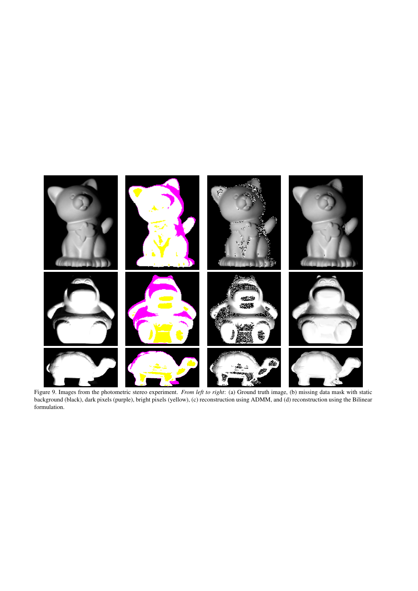

Figure 9. Images from the photometric stereo experiment. *From left to right*: (a) Ground truth image, (b) missing data mask with static background (black), dark pixels (purple), bright pixels (yellow), (c) reconstruction using ADMM, and (d) reconstruction using the Bilinear formulation.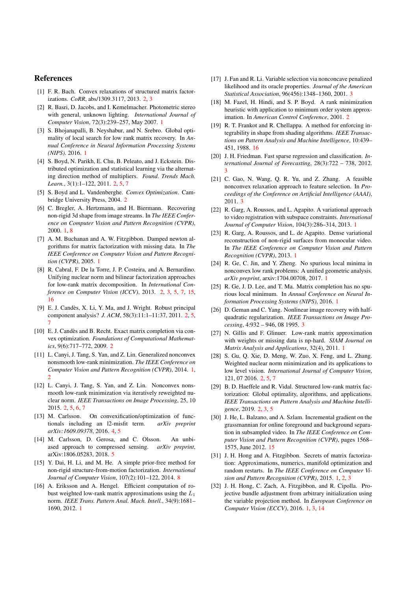#### References

- [1] F. R. Bach. Convex relaxations of structured matrix factorizations. *CoRR*, abs/1309.3117, 2013. 2, 3
- [2] R. Basri, D. Jacobs, and I. Kemelmacher. Photometric stereo with general, unknown lighting. *International Journal of Computer Vision*, 72(3):239–257, May 2007. 1
- [3] S. Bhojanapalli, B. Neyshabur, and N. Srebro. Global optimality of local search for low rank matrix recovery. In *Annual Conference in Neural Information Processing Systems (NIPS)*. 2016. 1
- [4] S. Boyd, N. Parikh, E. Chu, B. Peleato, and J. Eckstein. Distributed optimization and statistical learning via the alternating direction method of multipliers. *Found. Trends Mach. Learn.*, 3(1):1–122, 2011. 2, 5, 7
- [5] S. Boyd and L. Vandenberghe. *Convex Optimization*. Cambridge University Press, 2004. 2
- [6] C. Bregler, A. Hertzmann, and H. Biermann. Recovering non-rigid 3d shape from image streams. In *The IEEE Conference on Computer Vision and Pattern Recognition (CVPR)*, 2000. 1, 8
- [7] A. M. Buchanan and A. W. Fitzgibbon. Damped newton algorithms for matrix factorization with missing data. In *The IEEE Conference on Computer Vision and Pattern Recognition (CVPR)*, 2005. 1
- [8] R. Cabral, F. De la Torre, J. P. Costeira, and A. Bernardino. Unifying nuclear norm and bilinear factorization approaches for low-rank matrix decomposition. In *International Conference on Computer Vision (ICCV)*, 2013. 2, 3, 5, 7, 15, 16
- [9] E. J. Candès, X. Li, Y. Ma, and J. Wright. Robust principal component analysis? *J. ACM*, 58(3):11:1–11:37, 2011. 2, 5, 7
- [10] E. J. Candès and B. Recht. Exact matrix completion via convex optimization. *Foundations of Computational Mathematics*, 9(6):717–772, 2009. 2
- [11] L. Canyi, J. Tang, S. Yan, and Z. Lin. Generalized nonconvex nonsmooth low-rank minimization. *The IEEE Conference on Computer Vision and Pattern Recognition (CVPR)*, 2014. 1, 2
- [12] L. Canyi, J. Tang, S. Yan, and Z. Lin. Nonconvex nonsmooth low-rank minimization via iteratively reweighted nuclear norm. *IEEE Transactions on Image Processing*, 25, 10 2015. 2, 5, 6, 7
- [13] M. Carlsson. On convexification/optimization of functionals including an l2-misfit term. *arXiv preprint arXiv:1609.09378*, 2016. 4, 5
- [14] M. Carlsson, D. Gerosa, and C. Olsson. An unbiased approach to compressed sensing. *arXiv preprint*, arXiv:1806.05283, 2018. 5
- [15] Y. Dai, H. Li, and M. He. A simple prior-free method for non-rigid structure-from-motion factorization. *International Journal of Computer Vision*, 107(2):101–122, 2014. 8
- [16] A. Eriksson and A. Hengel. Efficient computation of robust weighted low-rank matrix approximations using the  $L_1$ norm. *IEEE Trans. Pattern Anal. Mach. Intell.*, 34(9):1681– 1690, 2012. 1
- [17] J. Fan and R. Li. Variable selection via nonconcave penalized likelihood and its oracle properties. *Journal of the American Statistical Association*, 96(456):1348–1360, 2001. 3
- [18] M. Fazel, H. Hindi, and S. P. Boyd. A rank minimization heuristic with application to minimum order system approximation. In *American Control Conference*, 2001. 2
- [19] R. T. Frankot and R. Chellappa. A method for enforcing integrability in shape from shading algorithms. *IEEE Transactions on Pattern Analysis and Machine Intelligence*, 10:439– 451, 1988. 16
- [20] J. H. Friedman. Fast sparse regression and classification. *International Journal of Forecasting*, 28(3):722 – 738, 2012. 3
- [21] C. Gao, N. Wang, Q. R. Yu, and Z. Zhang. A feasible nonconvex relaxation approach to feature selection. In *Proceedings of the Conference on Artificial Intelligence (AAAI)*, 2011. 3
- [22] R. Garg, A. Roussos, and L. Agapito. A variational approach to video registration with subspace constraints. *International Journal of Computer Vision*, 104(3):286–314, 2013. 1
- [23] R. Garg, A. Roussos, and L. de Agapito. Dense variational reconstruction of non-rigid surfaces from monocular video. In *The IEEE Conference on Computer Vision and Pattern Recognition (CVPR)*, 2013. 1
- [24] R. Ge, C. Jin, and Y. Zheng. No spurious local minima in nonconvex low rank problems: A unified geometric analysis. *arXiv preprint*, arxiv:1704.00708, 2017. 1
- [25] R. Ge, J. D. Lee, and T. Ma. Matrix completion has no spurious local minimum. In *Annual Conference on Neural Information Processing Systems (NIPS)*, 2016. 1
- [26] D. Geman and C. Yang. Nonlinear image recovery with halfquadratic regularization. *IEEE Transactions on Image Processing*, 4:932 – 946, 08 1995. 3
- [27] N. Gillis and F. Glinuer. Low-rank matrix approximation with weights or missing data is np-hard. *SIAM Journal on Matrix Analysis and Applications*, 32(4), 2011. 1
- [28] S. Gu, Q. Xie, D. Meng, W. Zuo, X. Feng, and L. Zhang. Weighted nuclear norm minimization and its applications to low level vision. *International Journal of Computer Vision*, 121, 07 2016. 2, 5, 7
- [29] B. D. Haeffele and R. Vidal. Structured low-rank matrix factorization: Global optimality, algorithms, and applications. *IEEE Transactions on Pattern Analysis and Machine Intelligence*, 2019. 2, 3, 5
- [30] J. He, L. Balzano, and A. Szlam. Incremental gradient on the grassmannian for online foreground and background separation in subsampled video. In *The IEEE Conference on Computer Vision and Pattern Recognition (CVPR)*, pages 1568– 1575, June 2012. 15
- [31] J. H. Hong and A. Fitzgibbon. Secrets of matrix factorization: Approximations, numerics, manifold optimization and random restarts. In *The IEEE Conference on Computer Vision and Pattern Recognition (CVPR)*, 2015. 1, 2, 3
- [32] J. H. Hong, C. Zach, A. Fitzgibbon, and R. Cipolla. Projective bundle adjustment from arbitrary initialization using the variable projection method. In *European Conference on Computer Vision (ECCV)*, 2016. 1, 3, 14